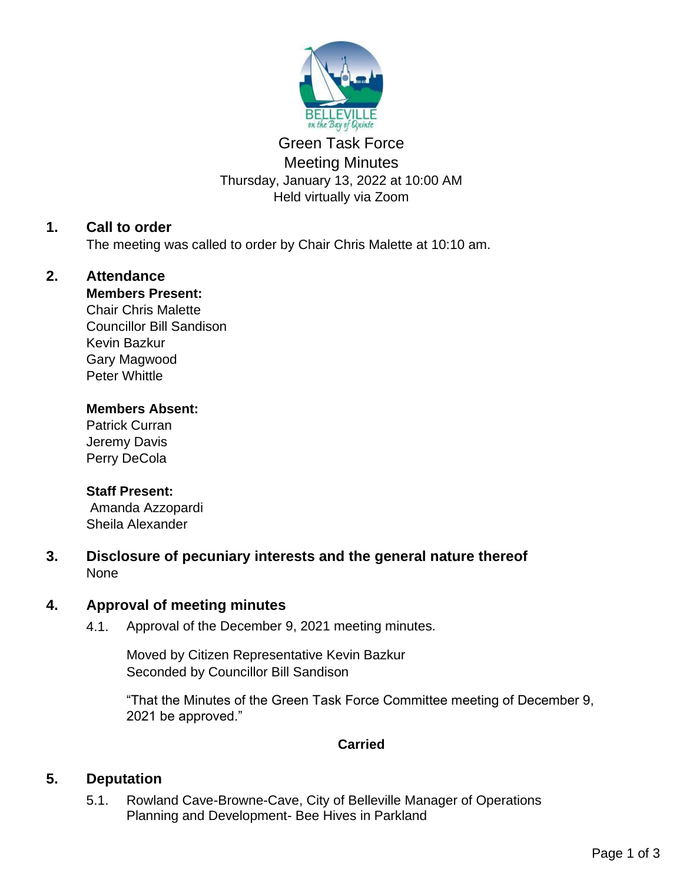

# Green Task Force Meeting Minutes Thursday, January 13, 2022 at 10:00 AM Held virtually via Zoom

# **1. Call to order**

The meeting was called to order by Chair Chris Malette at 10:10 am.

# **2. Attendance**

## **Members Present:**

Chair Chris Malette Councillor Bill Sandison Kevin Bazkur Gary Magwood Peter Whittle

## **Members Absent:**

Patrick Curran Jeremy Davis Perry DeCola

## **Staff Present:**

Amanda Azzopardi Sheila Alexander

**3. Disclosure of pecuniary interests and the general nature thereof** None

# **4. Approval of meeting minutes**

4.1. Approval of the December 9, 2021 meeting minutes.

Moved by Citizen Representative Kevin Bazkur Seconded by Councillor Bill Sandison

"That the Minutes of the Green Task Force Committee meeting of December 9, 2021 be approved."

# **Carried**

# **5. Deputation**

5.1. Rowland Cave-Browne-Cave, City of Belleville Manager of Operations Planning and Development- Bee Hives in Parkland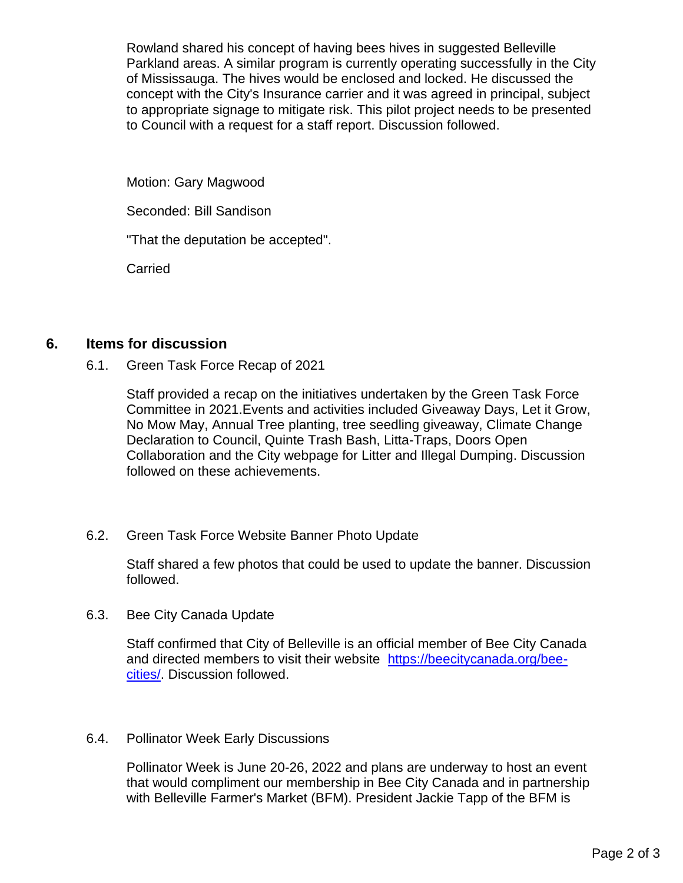Rowland shared his concept of having bees hives in suggested Belleville Parkland areas. A similar program is currently operating successfully in the City of Mississauga. The hives would be enclosed and locked. He discussed the concept with the City's Insurance carrier and it was agreed in principal, subject to appropriate signage to mitigate risk. This pilot project needs to be presented to Council with a request for a staff report. Discussion followed.

Motion: Gary Magwood

Seconded: Bill Sandison

"That the deputation be accepted".

Carried

# **6. Items for discussion**

6.1. Green Task Force Recap of 2021

Staff provided a recap on the initiatives undertaken by the Green Task Force Committee in 2021.Events and activities included Giveaway Days, Let it Grow, No Mow May, Annual Tree planting, tree seedling giveaway, Climate Change Declaration to Council, Quinte Trash Bash, Litta-Traps, Doors Open Collaboration and the City webpage for Litter and Illegal Dumping. Discussion followed on these achievements.

## 6.2. Green Task Force Website Banner Photo Update

Staff shared a few photos that could be used to update the banner. Discussion followed.

6.3. Bee City Canada Update

Staff confirmed that City of Belleville is an official member of Bee City Canada and directed members to visit their website https://beecitycanada.org/beecities/. Discussion followed.

## 6.4. Pollinator Week Early Discussions

Pollinator Week is June 20-26, 2022 and plans are underway to host an event that would compliment our membership in Bee City Canada and in partnership with Belleville Farmer's Market (BFM). President Jackie Tapp of the BFM is